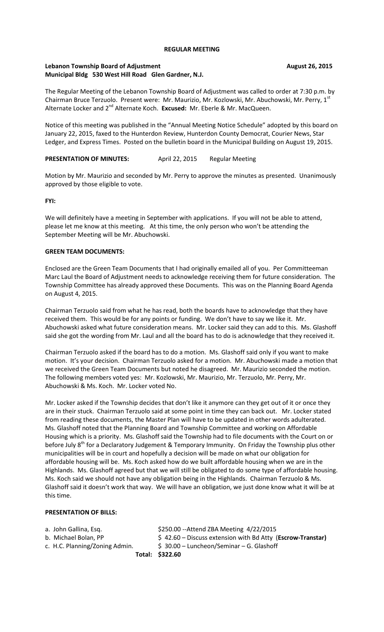#### **REGULAR MEETING**

## **Lebanon Township Board of Adjustment Community Community Community Community Community Community Community Community Community Community Community Community Community Community Community Community Community Community Comm Municipal Bldg 530 West Hill Road Glen Gardner, N.J.**

The Regular Meeting of the Lebanon Township Board of Adjustment was called to order at 7:30 p.m. by Chairman Bruce Terzuolo. Present were: Mr. Maurizio, Mr. Kozlowski, Mr. Abuchowski, Mr. Perry, 1st Alternate Locker and 2<sup>nd</sup> Alternate Koch. **Excused:** Mr. Eberle & Mr. MacQueen.

Notice of this meeting was published in the "Annual Meeting Notice Schedule" adopted by this board on January 22, 2015, faxed to the Hunterdon Review, Hunterdon County Democrat, Courier News, Star Ledger, and Express Times. Posted on the bulletin board in the Municipal Building on August 19, 2015.

## PRESENTATION OF MINUTES: April 22, 2015 Regular Meeting

Motion by Mr. Maurizio and seconded by Mr. Perry to approve the minutes as presented. Unanimously approved by those eligible to vote.

**FYI:**

We will definitely have a meeting in September with applications. If you will not be able to attend, please let me know at this meeting. At this time, the only person who won't be attending the September Meeting will be Mr. Abuchowski.

# **GREEN TEAM DOCUMENTS:**

Enclosed are the Green Team Documents that I had originally emailed all of you. Per Committeeman Marc Laul the Board of Adjustment needs to acknowledge receiving them for future consideration. The Township Committee has already approved these Documents. This was on the Planning Board Agenda on August 4, 2015.

Chairman Terzuolo said from what he has read, both the boards have to acknowledge that they have received them. This would be for any points or funding. We don't have to say we like it. Mr. Abuchowski asked what future consideration means. Mr. Locker said they can add to this. Ms. Glashoff said she got the wording from Mr. Laul and all the board has to do is acknowledge that they received it.

Chairman Terzuolo asked if the board has to do a motion. Ms. Glashoff said only if you want to make motion. It's your decision. Chairman Terzuolo asked for a motion. Mr. Abuchowski made a motion that we received the Green Team Documents but noted he disagreed. Mr. Maurizio seconded the motion. The following members voted yes: Mr. Kozlowski, Mr. Maurizio, Mr. Terzuolo, Mr. Perry, Mr. Abuchowski & Ms. Koch. Mr. Locker voted No.

Mr. Locker asked if the Township decides that don't like it anymore can they get out of it or once they are in their stuck. Chairman Terzuolo said at some point in time they can back out. Mr. Locker stated from reading these documents, the Master Plan will have to be updated in other words adulterated. Ms. Glashoff noted that the Planning Board and Township Committee and working on Affordable Housing which is a priority. Ms. Glashoff said the Township had to file documents with the Court on or before July  $8<sup>th</sup>$  for a Declaratory Judgement & Temporary Immunity. On Friday the Township plus other municipalities will be in court and hopefully a decision will be made on what our obligation for affordable housing will be. Ms. Koch asked how do we built affordable housing when we are in the Highlands. Ms. Glashoff agreed but that we will still be obligated to do some type of affordable housing. Ms. Koch said we should not have any obligation being in the Highlands. Chairman Terzuolo & Ms. Glashoff said it doesn't work that way. We will have an obligation, we just done know what it will be at this time.

## **PRESENTATION OF BILLS:**

| a. John Gallina, Esg.          | \$250.00 -- Attend ZBA Meeting 4/22/2015                    |
|--------------------------------|-------------------------------------------------------------|
| b. Michael Bolan, PP           | $$42.60 - Discuss extension with Bd$ Atty (Escrow-Transtar) |
| c. H.C. Planning/Zoning Admin. | \$30.00 - Luncheon/Seminar - G. Glashoff                    |
|                                | Total: \$322.60                                             |